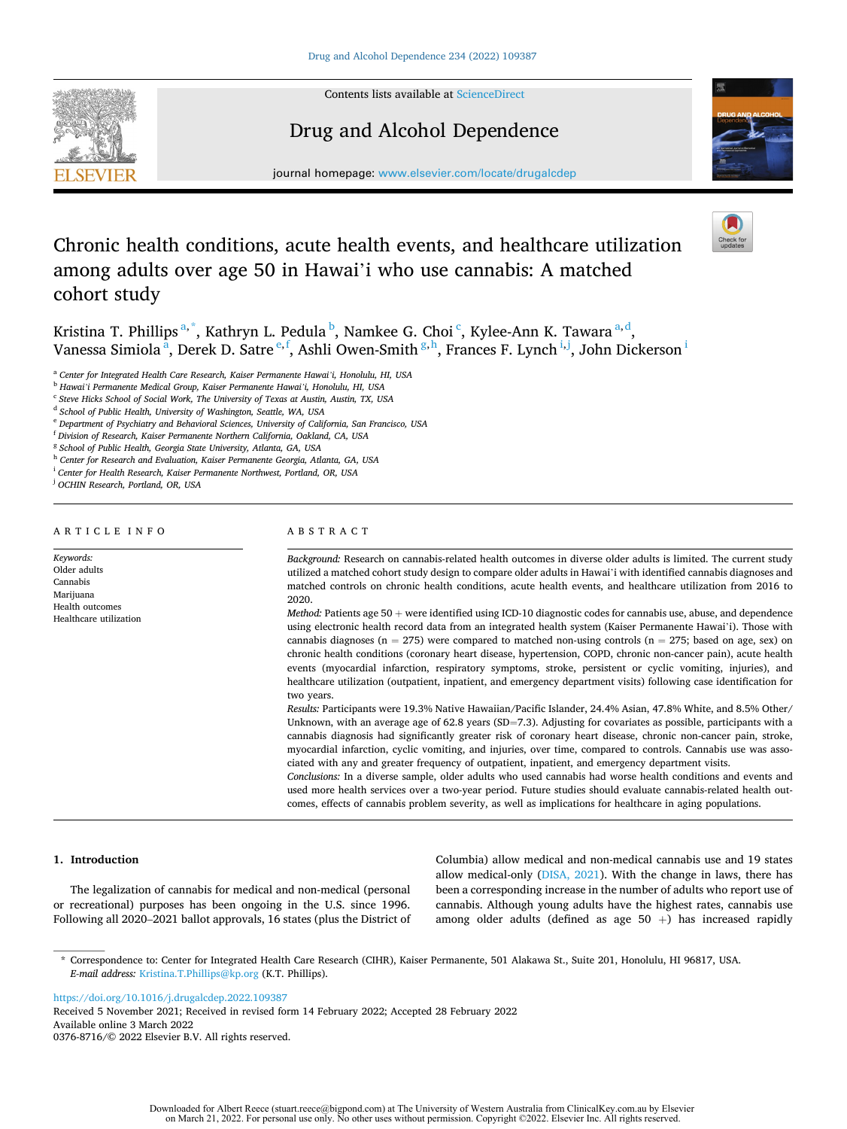

Contents lists available at [ScienceDirect](www.sciencedirect.com/science/journal/03768716)

# Drug and Alcohol Dependence



journal homepage: [www.elsevier.com/locate/drugalcdep](https://www.elsevier.com/locate/drugalcdep) 

# Chronic health conditions, acute health events, and healthcare utilization among adults over age 50 in Hawai'i who use cannabis: A matched cohort study

Kristina T. Phillips<sup>a,\*</sup>, Kathryn L. Pedula <sup>b</sup>, Namkee G. Choi <sup>c</sup>, Kylee-Ann K. Tawara <sup>a,d</sup>, Vanessa Simiola<sup>a</sup>, Derek D. Satre <sup>e,f</sup>, Ashli Owen-Smith <sup>g,h</sup>, Frances F. Lynch <sup>i,j</sup>, John Dickerson <sup>i</sup>

<sup>a</sup> *Center for Integrated Health Care Research, Kaiser Permanente Hawai'i, Honolulu, HI, USA* 

<sup>b</sup> *Hawai'i Permanente Medical Group, Kaiser Permanente Hawai'i, Honolulu, HI, USA* 

<sup>c</sup> *Steve Hicks School of Social Work, The University of Texas at Austin, Austin, TX, USA* 

<sup>e</sup> *Department of Psychiatry and Behavioral Sciences, University of California, San Francisco, USA* 

<sup>f</sup> *Division of Research, Kaiser Permanente Northern California, Oakland, CA, USA* 

<sup>g</sup> *School of Public Health, Georgia State University, Atlanta, GA, USA* 

<sup>h</sup> *Center for Research and Evaluation, Kaiser Permanente Georgia, Atlanta, GA, USA* 

<sup>i</sup> *Center for Health Research, Kaiser Permanente Northwest, Portland, OR, USA* 

<sup>j</sup> *OCHIN Research, Portland, OR, USA* 

# ARTICLE INFO

*Keywords:*  Older adults Cannabis Marijuana Health outcomes Healthcare utilization

# ABSTRACT

*Background:* Research on cannabis-related health outcomes in diverse older adults is limited. The current study utilized a matched cohort study design to compare older adults in Hawai'i with identified cannabis diagnoses and matched controls on chronic health conditions, acute health events, and healthcare utilization from 2016 to 2020.

*Method: Patients age* 50 + were identified using ICD-10 diagnostic codes for cannabis use, abuse, and dependence using electronic health record data from an integrated health system (Kaiser Permanente Hawai'i). Those with cannabis diagnoses ( $n = 275$ ) were compared to matched non-using controls ( $n = 275$ ; based on age, sex) on chronic health conditions (coronary heart disease, hypertension, COPD, chronic non-cancer pain), acute health events (myocardial infarction, respiratory symptoms, stroke, persistent or cyclic vomiting, injuries), and healthcare utilization (outpatient, inpatient, and emergency department visits) following case identification for two years.

*Results:* Participants were 19.3% Native Hawaiian/Pacific Islander, 24.4% Asian, 47.8% White, and 8.5% Other/ Unknown, with an average age of 62.8 years (SD=7.3). Adjusting for covariates as possible, participants with a cannabis diagnosis had significantly greater risk of coronary heart disease, chronic non-cancer pain, stroke, myocardial infarction, cyclic vomiting, and injuries, over time, compared to controls. Cannabis use was associated with any and greater frequency of outpatient, inpatient, and emergency department visits.

*Conclusions:* In a diverse sample, older adults who used cannabis had worse health conditions and events and used more health services over a two-year period. Future studies should evaluate cannabis-related health outcomes, effects of cannabis problem severity, as well as implications for healthcare in aging populations.

## **1. Introduction**

The legalization of cannabis for medical and non-medical (personal or recreational) purposes has been ongoing in the U.S. since 1996. Following all 2020–2021 ballot approvals, 16 states (plus the District of Columbia) allow medical and non-medical cannabis use and 19 states allow medical-only [\(DISA, 2021](#page-6-0)). With the change in laws, there has been a corresponding increase in the number of adults who report use of cannabis. Although young adults have the highest rates, cannabis use among older adults (defined as age  $50 +$ ) has increased rapidly

\* Correspondence to: Center for Integrated Health Care Research (CIHR), Kaiser Permanente, 501 Alakawa St., Suite 201, Honolulu, HI 96817, USA. *E-mail address:* [Kristina.T.Phillips@kp.org](mailto:Kristina.T.Phillips@kp.org) (K.T. Phillips).

<https://doi.org/10.1016/j.drugalcdep.2022.109387>

Available online 3 March 2022 0376-8716/© 2022 Elsevier B.V. All rights reserved. Received 5 November 2021; Received in revised form 14 February 2022; Accepted 28 February 2022

<sup>d</sup> *School of Public Health, University of Washington, Seattle, WA, USA*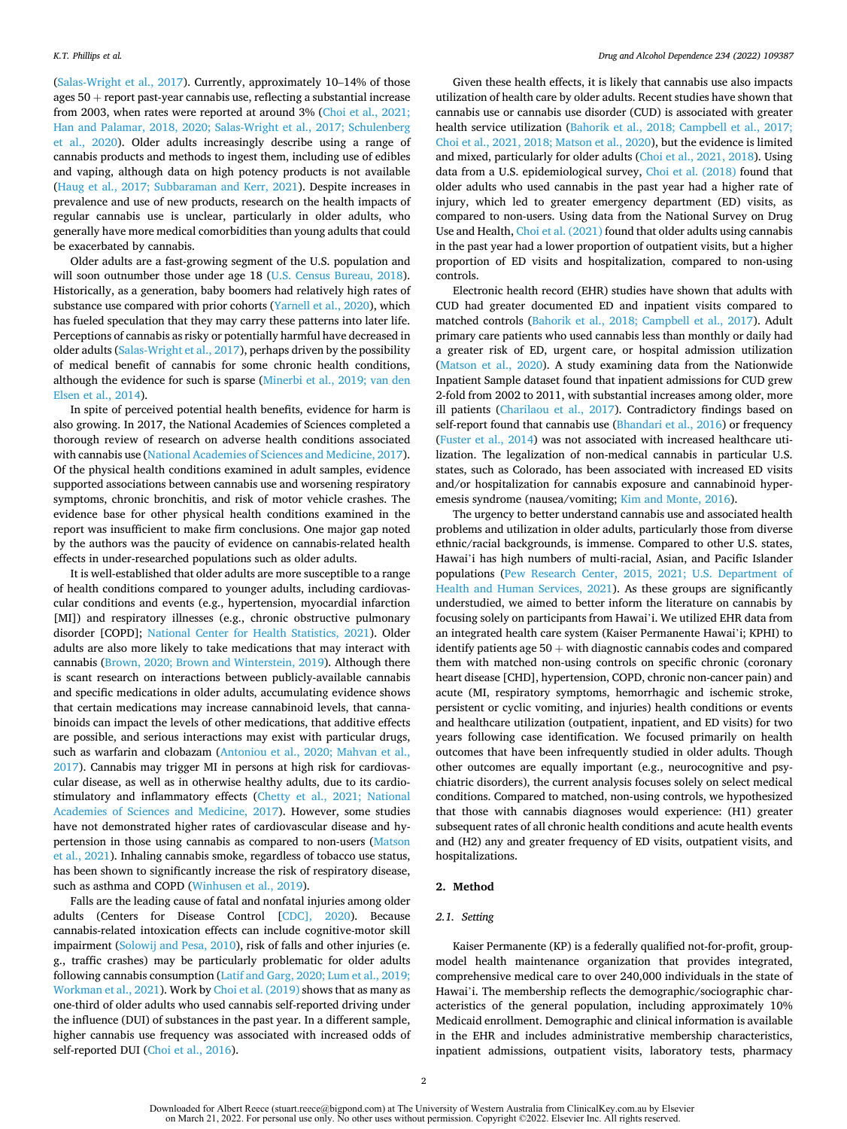([Salas-Wright et al., 2017\)](#page-6-0). Currently, approximately 10–14% of those ages  $50 +$  report past-year cannabis use, reflecting a substantial increase from 2003, when rates were reported at around 3% (Choi et al., 2021; [Han and Palamar, 2018, 2020; Salas-Wright et al., 2017; Schulenberg](#page-6-0)  [et al., 2020\)](#page-6-0). Older adults increasingly describe using a range of cannabis products and methods to ingest them, including use of edibles and vaping, although data on high potency products is not available ([Haug et al., 2017; Subbaraman and Kerr, 2021\)](#page-6-0). Despite increases in prevalence and use of new products, research on the health impacts of regular cannabis use is unclear, particularly in older adults, who generally have more medical comorbidities than young adults that could be exacerbated by cannabis.

Older adults are a fast-growing segment of the U.S. population and will soon outnumber those under age 18 ([U.S. Census Bureau, 2018](#page-6-0)). Historically, as a generation, baby boomers had relatively high rates of substance use compared with prior cohorts ([Yarnell et al., 2020\)](#page-6-0), which has fueled speculation that they may carry these patterns into later life. Perceptions of cannabis as risky or potentially harmful have decreased in older adults ([Salas-Wright et al., 2017\)](#page-6-0), perhaps driven by the possibility of medical benefit of cannabis for some chronic health conditions, although the evidence for such is sparse [\(Minerbi et al., 2019; van den](#page-6-0)  [Elsen et al., 2014\)](#page-6-0).

In spite of perceived potential health benefits, evidence for harm is also growing. In 2017, the National Academies of Sciences completed a thorough review of research on adverse health conditions associated with cannabis use ([National Academies of Sciences and Medicine, 2017](#page-6-0)). Of the physical health conditions examined in adult samples, evidence supported associations between cannabis use and worsening respiratory symptoms, chronic bronchitis, and risk of motor vehicle crashes. The evidence base for other physical health conditions examined in the report was insufficient to make firm conclusions. One major gap noted by the authors was the paucity of evidence on cannabis-related health effects in under-researched populations such as older adults.

It is well-established that older adults are more susceptible to a range of health conditions compared to younger adults, including cardiovascular conditions and events (e.g., hypertension, myocardial infarction [MI]) and respiratory illnesses (e.g., chronic obstructive pulmonary disorder [COPD]; [National Center for Health Statistics, 2021](#page-6-0)). Older adults are also more likely to take medications that may interact with cannabis ([Brown, 2020; Brown and Winterstein, 2019\)](#page-5-0). Although there is scant research on interactions between publicly-available cannabis and specific medications in older adults, accumulating evidence shows that certain medications may increase cannabinoid levels, that cannabinoids can impact the levels of other medications, that additive effects are possible, and serious interactions may exist with particular drugs, such as warfarin and clobazam ([Antoniou et al., 2020; Mahvan et al.,](#page-5-0)  [2017\)](#page-5-0). Cannabis may trigger MI in persons at high risk for cardiovascular disease, as well as in otherwise healthy adults, due to its cardiostimulatory and inflammatory effects [\(Chetty et al., 2021; National](#page-5-0)  [Academies of Sciences and Medicine, 2017\)](#page-5-0). However, some studies have not demonstrated higher rates of cardiovascular disease and hypertension in those using cannabis as compared to non-users ([Matson](#page-6-0)  [et al., 2021](#page-6-0)). Inhaling cannabis smoke, regardless of tobacco use status, has been shown to significantly increase the risk of respiratory disease, such as asthma and COPD [\(Winhusen et al., 2019\)](#page-6-0).

Falls are the leading cause of fatal and nonfatal injuries among older adults (Centers for Disease Control [[CDC\], 2020\)](#page-5-0). Because cannabis-related intoxication effects can include cognitive-motor skill impairment [\(Solowij and Pesa, 2010\)](#page-6-0), risk of falls and other injuries (e. g., traffic crashes) may be particularly problematic for older adults following cannabis consumption [\(Latif and Garg, 2020; Lum et al., 2019;](#page-6-0)  [Workman et al., 2021](#page-6-0)). Work by [Choi et al. \(2019\)](#page-6-0) shows that as many as one-third of older adults who used cannabis self-reported driving under the influence (DUI) of substances in the past year. In a different sample, higher cannabis use frequency was associated with increased odds of self-reported DUI ([Choi et al., 2016\)](#page-5-0).

Given these health effects, it is likely that cannabis use also impacts utilization of health care by older adults. Recent studies have shown that cannabis use or cannabis use disorder (CUD) is associated with greater health service utilization [\(Bahorik et al., 2018; Campbell et al., 2017;](#page-5-0)  [Choi et al., 2021, 2018; Matson et al., 2020\)](#page-5-0), but the evidence is limited and mixed, particularly for older adults ([Choi et al., 2021, 2018](#page-6-0)). Using data from a U.S. epidemiological survey, [Choi et al. \(2018\)](#page-6-0) found that older adults who used cannabis in the past year had a higher rate of injury, which led to greater emergency department (ED) visits, as compared to non-users. Using data from the National Survey on Drug Use and Health, [Choi et al. \(2021\)](#page-6-0) found that older adults using cannabis in the past year had a lower proportion of outpatient visits, but a higher proportion of ED visits and hospitalization, compared to non-using controls.

Electronic health record (EHR) studies have shown that adults with CUD had greater documented ED and inpatient visits compared to matched controls [\(Bahorik et al., 2018; Campbell et al., 2017\)](#page-5-0). Adult primary care patients who used cannabis less than monthly or daily had a greater risk of ED, urgent care, or hospital admission utilization ([Matson et al., 2020\)](#page-6-0). A study examining data from the Nationwide Inpatient Sample dataset found that inpatient admissions for CUD grew 2-fold from 2002 to 2011, with substantial increases among older, more ill patients ([Charilaou et al., 2017](#page-5-0)). Contradictory findings based on self-report found that cannabis use ([Bhandari et al., 2016\)](#page-5-0) or frequency ([Fuster et al., 2014](#page-6-0)) was not associated with increased healthcare utilization. The legalization of non-medical cannabis in particular U.S. states, such as Colorado, has been associated with increased ED visits and/or hospitalization for cannabis exposure and cannabinoid hyperemesis syndrome (nausea/vomiting; [Kim and Monte, 2016\)](#page-6-0).

The urgency to better understand cannabis use and associated health problems and utilization in older adults, particularly those from diverse ethnic/racial backgrounds, is immense. Compared to other U.S. states, Hawai'i has high numbers of multi-racial, Asian, and Pacific Islander populations ([Pew Research Center, 2015, 2021; U.S. Department of](#page-6-0)  [Health and Human Services, 2021\)](#page-6-0). As these groups are significantly understudied, we aimed to better inform the literature on cannabis by focusing solely on participants from Hawai'i. We utilized EHR data from an integrated health care system (Kaiser Permanente Hawai'i; KPHI) to identify patients age  $50 +$  with diagnostic cannabis codes and compared them with matched non-using controls on specific chronic (coronary heart disease [CHD], hypertension, COPD, chronic non-cancer pain) and acute (MI, respiratory symptoms, hemorrhagic and ischemic stroke, persistent or cyclic vomiting, and injuries) health conditions or events and healthcare utilization (outpatient, inpatient, and ED visits) for two years following case identification. We focused primarily on health outcomes that have been infrequently studied in older adults. Though other outcomes are equally important (e.g., neurocognitive and psychiatric disorders), the current analysis focuses solely on select medical conditions. Compared to matched, non-using controls, we hypothesized that those with cannabis diagnoses would experience: (H1) greater subsequent rates of all chronic health conditions and acute health events and (H2) any and greater frequency of ED visits, outpatient visits, and hospitalizations.

# **2. Method**

## *2.1. Setting*

Kaiser Permanente (KP) is a federally qualified not-for-profit, groupmodel health maintenance organization that provides integrated, comprehensive medical care to over 240,000 individuals in the state of Hawai'i. The membership reflects the demographic/sociographic characteristics of the general population, including approximately 10% Medicaid enrollment. Demographic and clinical information is available in the EHR and includes administrative membership characteristics, inpatient admissions, outpatient visits, laboratory tests, pharmacy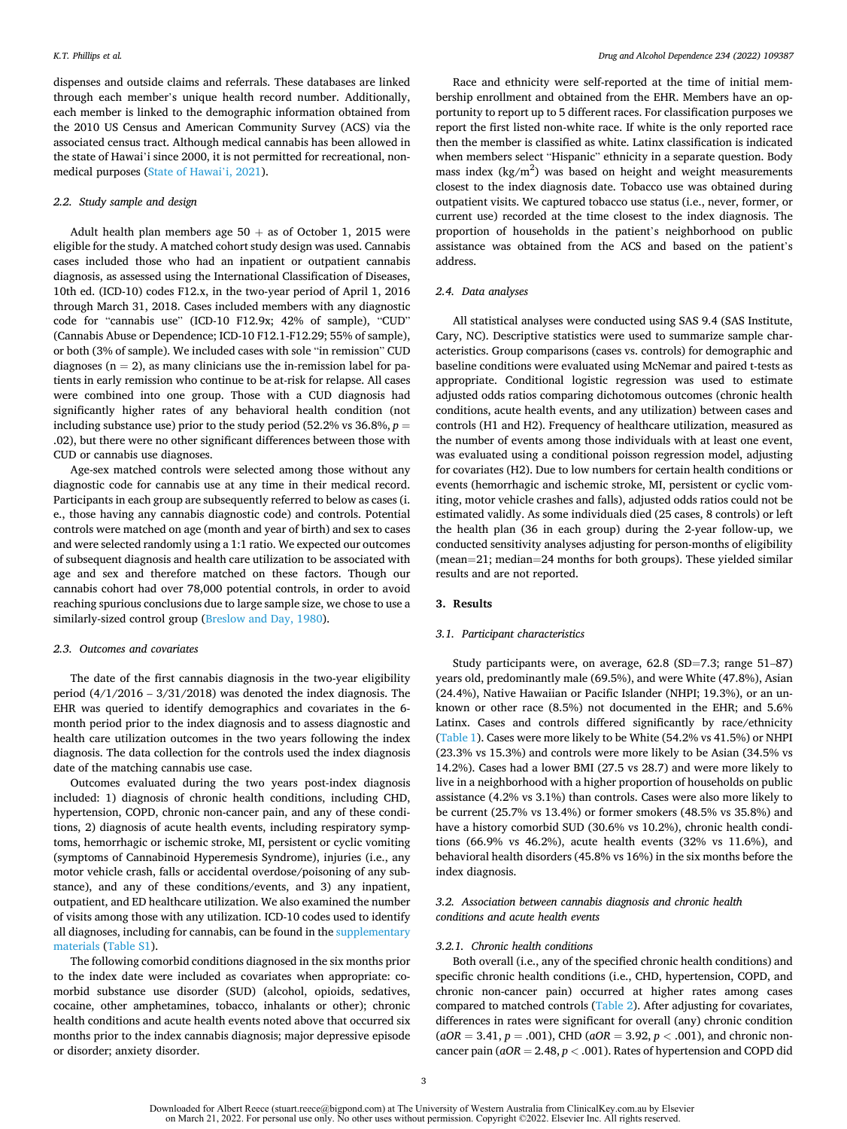dispenses and outside claims and referrals. These databases are linked through each member's unique health record number. Additionally, each member is linked to the demographic information obtained from the 2010 US Census and American Community Survey (ACS) via the associated census tract. Although medical cannabis has been allowed in the state of Hawai'i since 2000, it is not permitted for recreational, nonmedical purposes [\(State of Hawai](#page-6-0)'i, 2021).

## *2.2. Study sample and design*

Adult health plan members age  $50 +$  as of October 1, 2015 were eligible for the study. A matched cohort study design was used. Cannabis cases included those who had an inpatient or outpatient cannabis diagnosis, as assessed using the International Classification of Diseases, 10th ed. (ICD-10) codes F12.x, in the two-year period of April 1, 2016 through March 31, 2018. Cases included members with any diagnostic code for "cannabis use" (ICD-10 F12.9x; 42% of sample), "CUD" (Cannabis Abuse or Dependence; ICD-10 F12.1-F12.29; 55% of sample), or both (3% of sample). We included cases with sole "in remission" CUD diagnoses ( $n = 2$ ), as many clinicians use the in-remission label for patients in early remission who continue to be at-risk for relapse. All cases were combined into one group. Those with a CUD diagnosis had significantly higher rates of any behavioral health condition (not including substance use) prior to the study period  $(52.2\% \text{ vs } 36.8\%, p =$ .02), but there were no other significant differences between those with CUD or cannabis use diagnoses.

Age-sex matched controls were selected among those without any diagnostic code for cannabis use at any time in their medical record. Participants in each group are subsequently referred to below as cases (i. e., those having any cannabis diagnostic code) and controls. Potential controls were matched on age (month and year of birth) and sex to cases and were selected randomly using a 1:1 ratio. We expected our outcomes of subsequent diagnosis and health care utilization to be associated with age and sex and therefore matched on these factors. Though our cannabis cohort had over 78,000 potential controls, in order to avoid reaching spurious conclusions due to large sample size, we chose to use a similarly-sized control group ([Breslow and Day, 1980\)](#page-5-0).

## *2.3. Outcomes and covariates*

The date of the first cannabis diagnosis in the two-year eligibility period (4/1/2016 – 3/31/2018) was denoted the index diagnosis. The EHR was queried to identify demographics and covariates in the 6 month period prior to the index diagnosis and to assess diagnostic and health care utilization outcomes in the two years following the index diagnosis. The data collection for the controls used the index diagnosis date of the matching cannabis use case.

Outcomes evaluated during the two years post-index diagnosis included: 1) diagnosis of chronic health conditions, including CHD, hypertension, COPD, chronic non-cancer pain, and any of these conditions, 2) diagnosis of acute health events, including respiratory symptoms, hemorrhagic or ischemic stroke, MI, persistent or cyclic vomiting (symptoms of Cannabinoid Hyperemesis Syndrome), injuries (i.e., any motor vehicle crash, falls or accidental overdose/poisoning of any substance), and any of these conditions/events, and 3) any inpatient, outpatient, and ED healthcare utilization. We also examined the number of visits among those with any utilization. ICD-10 codes used to identify all diagnoses, including for cannabis, can be found in the supplementary materials (Table S1).

The following comorbid conditions diagnosed in the six months prior to the index date were included as covariates when appropriate: comorbid substance use disorder (SUD) (alcohol, opioids, sedatives, cocaine, other amphetamines, tobacco, inhalants or other); chronic health conditions and acute health events noted above that occurred six months prior to the index cannabis diagnosis; major depressive episode or disorder; anxiety disorder.

Race and ethnicity were self-reported at the time of initial membership enrollment and obtained from the EHR. Members have an opportunity to report up to 5 different races. For classification purposes we report the first listed non-white race. If white is the only reported race then the member is classified as white. Latinx classification is indicated when members select "Hispanic" ethnicity in a separate question. Body mass index  $(kg/m^2)$  was based on height and weight measurements closest to the index diagnosis date. Tobacco use was obtained during outpatient visits. We captured tobacco use status (i.e., never, former, or current use) recorded at the time closest to the index diagnosis. The proportion of households in the patient's neighborhood on public assistance was obtained from the ACS and based on the patient's address.

## *2.4. Data analyses*

All statistical analyses were conducted using SAS 9.4 (SAS Institute, Cary, NC). Descriptive statistics were used to summarize sample characteristics. Group comparisons (cases vs. controls) for demographic and baseline conditions were evaluated using McNemar and paired t-tests as appropriate. Conditional logistic regression was used to estimate adjusted odds ratios comparing dichotomous outcomes (chronic health conditions, acute health events, and any utilization) between cases and controls (H1 and H2). Frequency of healthcare utilization, measured as the number of events among those individuals with at least one event, was evaluated using a conditional poisson regression model, adjusting for covariates (H2). Due to low numbers for certain health conditions or events (hemorrhagic and ischemic stroke, MI, persistent or cyclic vomiting, motor vehicle crashes and falls), adjusted odds ratios could not be estimated validly. As some individuals died (25 cases, 8 controls) or left the health plan (36 in each group) during the 2-year follow-up, we conducted sensitivity analyses adjusting for person-months of eligibility (mean=21; median=24 months for both groups). These yielded similar results and are not reported.

## **3. Results**

## *3.1. Participant characteristics*

Study participants were, on average, 62.8 (SD=7.3; range 51–87) years old, predominantly male (69.5%), and were White (47.8%), Asian (24.4%), Native Hawaiian or Pacific Islander (NHPI; 19.3%), or an unknown or other race (8.5%) not documented in the EHR; and 5.6% Latinx. Cases and controls differed significantly by race/ethnicity ([Table 1](#page-3-0)). Cases were more likely to be White (54.2% vs 41.5%) or NHPI (23.3% vs 15.3%) and controls were more likely to be Asian (34.5% vs 14.2%). Cases had a lower BMI (27.5 vs 28.7) and were more likely to live in a neighborhood with a higher proportion of households on public assistance (4.2% vs 3.1%) than controls. Cases were also more likely to be current (25.7% vs 13.4%) or former smokers (48.5% vs 35.8%) and have a history comorbid SUD (30.6% vs 10.2%), chronic health conditions (66.9% vs 46.2%), acute health events (32% vs 11.6%), and behavioral health disorders (45.8% vs 16%) in the six months before the index diagnosis.

# *3.2. Association between cannabis diagnosis and chronic health conditions and acute health events*

## *3.2.1. Chronic health conditions*

Both overall (i.e., any of the specified chronic health conditions) and specific chronic health conditions (i.e., CHD, hypertension, COPD, and chronic non-cancer pain) occurred at higher rates among cases compared to matched controls [\(Table 2](#page-3-0)). After adjusting for covariates, differences in rates were significant for overall (any) chronic condition  $(aOR = 3.41, p = .001)$ , CHD  $(aOR = 3.92, p < .001)$ , and chronic noncancer pain (*aOR* = 2.48, *p <* .001). Rates of hypertension and COPD did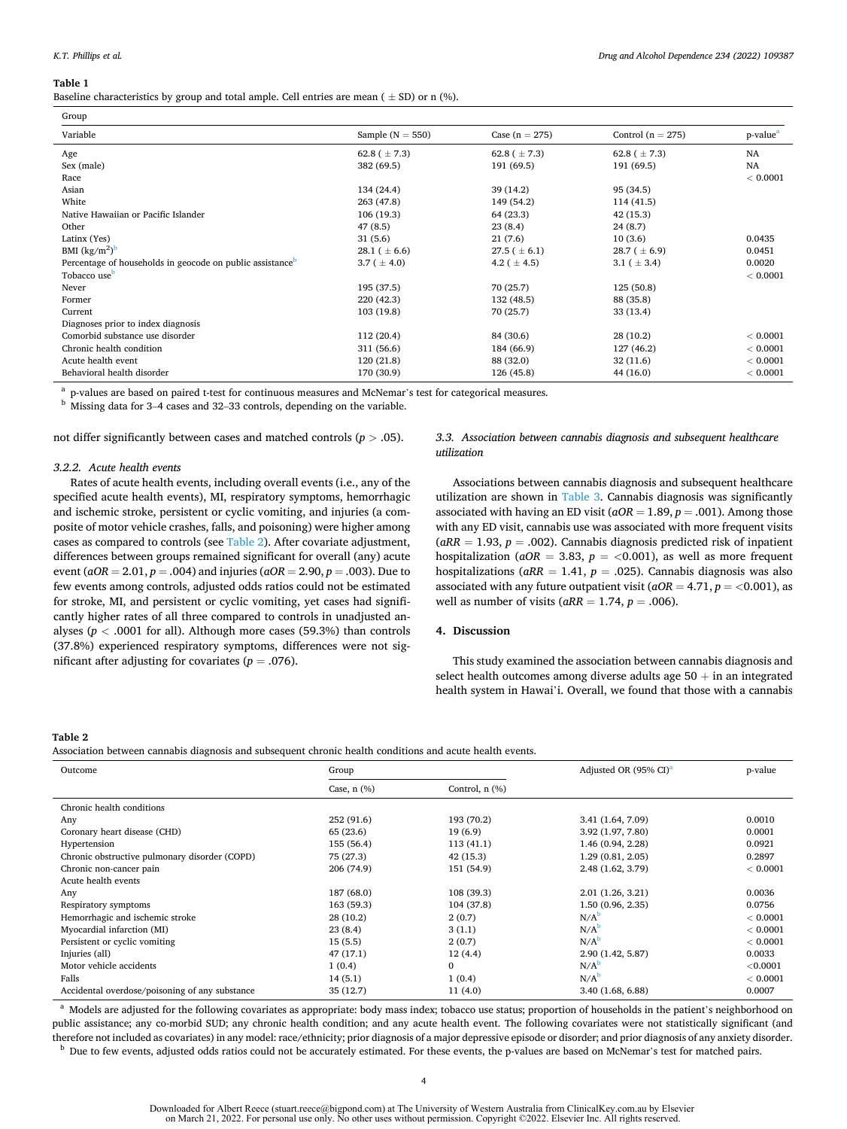#### <span id="page-3-0"></span>**Table 1**

Baseline characteristics by group and total ample. Cell entries are mean ( $\pm$  SD) or n (%).

| Group                                                                 |                    |                   |                       |                      |  |  |
|-----------------------------------------------------------------------|--------------------|-------------------|-----------------------|----------------------|--|--|
| Variable                                                              | Sample $(N = 550)$ | Case $(n = 275)$  | Control ( $n = 275$ ) | p-value <sup>a</sup> |  |  |
| Age                                                                   | 62.8 ( $\pm$ 7.3)  | 62.8 ( $\pm$ 7.3) | 62.8 ( $\pm$ 7.3)     | <b>NA</b>            |  |  |
| Sex (male)                                                            | 382 (69.5)         | 191 (69.5)        | 191 (69.5)            | <b>NA</b>            |  |  |
| Race                                                                  |                    |                   |                       | < 0.0001             |  |  |
| Asian                                                                 | 134 (24.4)         | 39 (14.2)         | 95 (34.5)             |                      |  |  |
| White                                                                 | 263 (47.8)         | 149 (54.2)        | 114(41.5)             |                      |  |  |
| Native Hawaiian or Pacific Islander                                   | 106(19.3)          | 64 (23.3)         | 42(15.3)              |                      |  |  |
| Other                                                                 | 47(8.5)            | 23(8.4)           | 24(8.7)               |                      |  |  |
| Latinx (Yes)                                                          | 31(5.6)            | 21(7.6)           | 10(3.6)               | 0.0435               |  |  |
| BMI $(kg/m2)b$                                                        | 28.1 ( $\pm$ 6.6)  | $27.5 (\pm 6.1)$  | $28.7 (\pm 6.9)$      | 0.0451               |  |  |
| Percentage of households in geocode on public assistance <sup>b</sup> | 3.7 ( $\pm$ 4.0)   | 4.2 ( $\pm$ 4.5)  | 3.1 ( $\pm$ 3.4)      | 0.0020               |  |  |
| Tobacco use <sup>b</sup>                                              |                    |                   |                       | < 0.0001             |  |  |
| Never                                                                 | 195 (37.5)         | 70 (25.7)         | 125(50.8)             |                      |  |  |
| Former                                                                | 220 (42.3)         | 132 (48.5)        | 88 (35.8)             |                      |  |  |
| Current                                                               | 103 (19.8)         | 70 (25.7)         | 33 (13.4)             |                      |  |  |
| Diagnoses prior to index diagnosis                                    |                    |                   |                       |                      |  |  |
| Comorbid substance use disorder                                       | 112(20.4)          | 84 (30.6)         | 28(10.2)              | < 0.0001             |  |  |
| Chronic health condition                                              | 311 (56.6)         | 184 (66.9)        | 127 (46.2)            | < 0.0001             |  |  |
| Acute health event                                                    | 120(21.8)          | 88 (32.0)         | 32(11.6)              | < 0.0001             |  |  |
| Behavioral health disorder                                            | 170 (30.9)         | 126 (45.8)        | 44 (16.0)             | < 0.0001             |  |  |

 $^{\rm a}$  p-values are based on paired t-test for continuous measures and McNemar's test for categorical measures. b Missing data for 3–4 cases and 32–33 controls, depending on the variable.

not differ significantly between cases and matched controls (*p >* .05).

## *3.2.2. Acute health events*

Rates of acute health events, including overall events (i.e., any of the specified acute health events), MI, respiratory symptoms, hemorrhagic and ischemic stroke, persistent or cyclic vomiting, and injuries (a composite of motor vehicle crashes, falls, and poisoning) were higher among cases as compared to controls (see Table 2). After covariate adjustment, differences between groups remained significant for overall (any) acute event (*aOR* = 2.01, *p* = .004) and injuries (*aOR* = 2.90, *p* = .003). Due to few events among controls, adjusted odds ratios could not be estimated for stroke, MI, and persistent or cyclic vomiting, yet cases had significantly higher rates of all three compared to controls in unadjusted analyses (*p <* .0001 for all). Although more cases (59.3%) than controls (37.8%) experienced respiratory symptoms, differences were not significant after adjusting for covariates  $(p = .076)$ .

# *3.3. Association between cannabis diagnosis and subsequent healthcare utilization*

Associations between cannabis diagnosis and subsequent healthcare utilization are shown in [Table 3](#page-4-0). Cannabis diagnosis was significantly associated with having an ED visit (*aOR* = 1.89, *p* = .001). Among those with any ED visit, cannabis use was associated with more frequent visits  $(aRR = 1.93, p = .002)$ . Cannabis diagnosis predicted risk of inpatient hospitalization ( $aOR = 3.83$ ,  $p = <0.001$ ), as well as more frequent hospitalizations (*aRR* = 1.41, *p* = .025). Cannabis diagnosis was also associated with any future outpatient visit  $(aOR = 4.71, p = <0.001)$ , as well as number of visits  $(aRR = 1.74, p = .006)$ .

## **4. Discussion**

This study examined the association between cannabis diagnosis and select health outcomes among diverse adults age  $50 + in$  an integrated health system in Hawai'i. Overall, we found that those with a cannabis

#### **Table 2**

Association between cannabis diagnosis and subsequent chronic health conditions and acute health events.

| Outcome                                        | Group            |                     | Adjusted OR (95% CI) <sup>a</sup> | p-value  |
|------------------------------------------------|------------------|---------------------|-----------------------------------|----------|
|                                                | Case, $n$ $(\%)$ | Control, $n$ $(\%)$ |                                   |          |
| Chronic health conditions                      |                  |                     |                                   |          |
| Any                                            | 252 (91.6)       | 193 (70.2)          | 3.41 (1.64, 7.09)                 | 0.0010   |
| Coronary heart disease (CHD)                   | 65 (23.6)        | 19(6.9)             | 3.92 (1.97, 7.80)                 | 0.0001   |
| Hypertension                                   | 155 (56.4)       | 113(41.1)           | 1.46 (0.94, 2.28)                 | 0.0921   |
| Chronic obstructive pulmonary disorder (COPD)  | 75 (27.3)        | 42 (15.3)           | 1.29(0.81, 2.05)                  | 0.2897   |
| Chronic non-cancer pain                        | 206 (74.9)       | 151 (54.9)          | 2.48 (1.62, 3.79)                 | < 0.0001 |
| Acute health events                            |                  |                     |                                   |          |
| Any                                            | 187 (68.0)       | 108 (39.3)          | 2.01(1.26, 3.21)                  | 0.0036   |
| Respiratory symptoms                           | 163 (59.3)       | 104 (37.8)          | 1.50(0.96, 2.35)                  | 0.0756   |
| Hemorrhagic and ischemic stroke                | 28(10.2)         | 2(0.7)              | N/A <sup>b</sup>                  | < 0.0001 |
| Myocardial infarction (MI)                     | 23(8.4)          | 3(1.1)              | N/A <sup>b</sup>                  | < 0.0001 |
| Persistent or cyclic vomiting                  | 15(5.5)          | 2(0.7)              | N/A <sup>b</sup>                  | < 0.0001 |
| Injuries (all)                                 | 47(17.1)         | 12(4.4)             | 2.90 (1.42, 5.87)                 | 0.0033   |
| Motor vehicle accidents                        | 1(0.4)           | $\mathbf{0}$        | $N/A^b$                           | < 0.0001 |
| Falls                                          | 14(5.1)          | 1(0.4)              | $N/A^b$                           | < 0.0001 |
| Accidental overdose/poisoning of any substance | 35(12.7)         | 11(4.0)             | 3.40 (1.68, 6.88)                 | 0.0007   |

<sup>a</sup> Models are adjusted for the following covariates as appropriate: body mass index; tobacco use status; proportion of households in the patient's neighborhood on public assistance; any co-morbid SUD; any chronic health condition; and any acute health event. The following covariates were not statistically significant (and therefore not included as covariates) in any model: race/ethnicity; prior diagnosis of a major depressive episode or disorder; and prior diagnosis of any anxiety disorder.<br><sup>b</sup> Due to few events, adjusted odds ratios could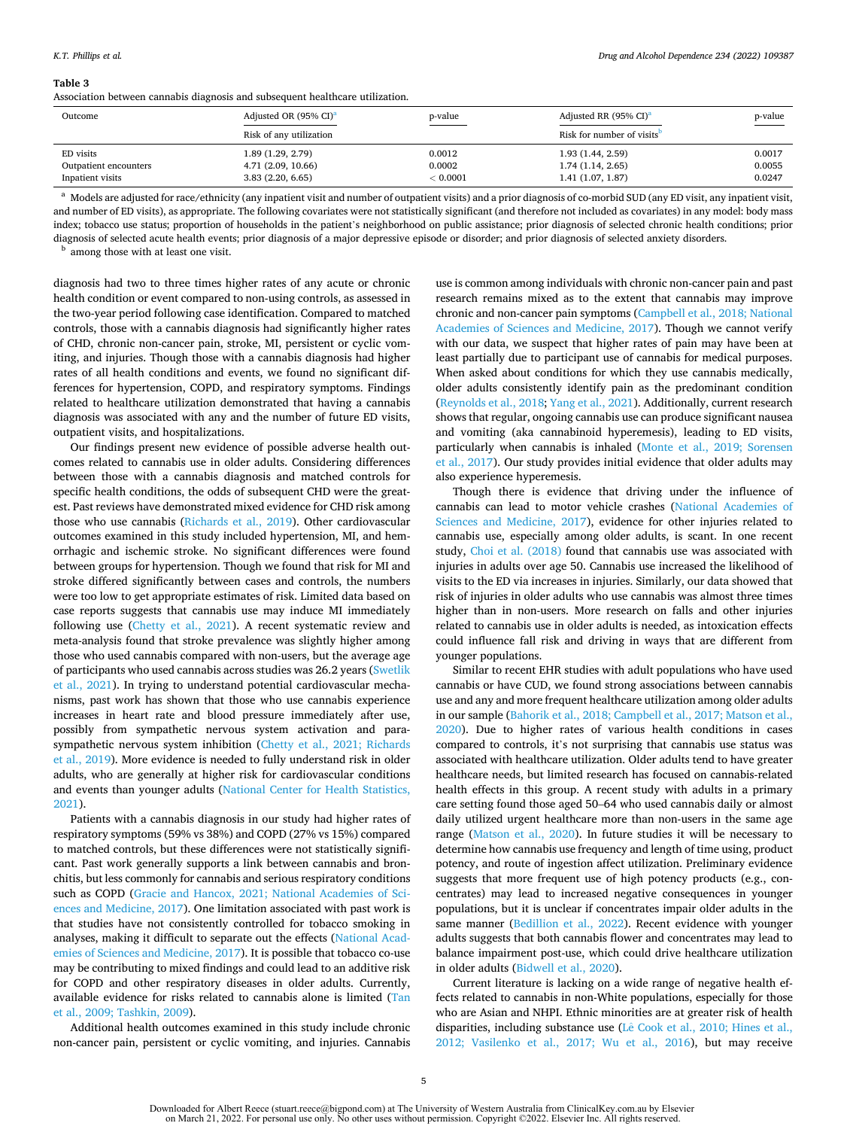#### <span id="page-4-0"></span>**Table 3**

Association between cannabis diagnosis and subsequent healthcare utilization.

| Outcome                                                | Adjusted OR (95% CI) <sup>a</sup>                           | p-value                      | Adjusted RR (95% CI) <sup>a</sup>                         | p-value<br>$\frac{1}{2} \left( \frac{1}{2} \right) \left( \frac{1}{2} \right) \left( \frac{1}{2} \right) \left( \frac{1}{2} \right) \left( \frac{1}{2} \right) \left( \frac{1}{2} \right) \left( \frac{1}{2} \right) \left( \frac{1}{2} \right) \left( \frac{1}{2} \right) \left( \frac{1}{2} \right) \left( \frac{1}{2} \right) \left( \frac{1}{2} \right) \left( \frac{1}{2} \right) \left( \frac{1}{2} \right) \left( \frac{1}{2} \right) \left( \frac{1}{2} \right) \left( \frac$ |
|--------------------------------------------------------|-------------------------------------------------------------|------------------------------|-----------------------------------------------------------|---------------------------------------------------------------------------------------------------------------------------------------------------------------------------------------------------------------------------------------------------------------------------------------------------------------------------------------------------------------------------------------------------------------------------------------------------------------------------------------|
|                                                        | Risk of any utilization                                     |                              | Risk for number of visits <sup>b</sup>                    |                                                                                                                                                                                                                                                                                                                                                                                                                                                                                       |
| ED visits<br>Outpatient encounters<br>Inpatient visits | 1.89 (1.29, 2.79)<br>4.71 (2.09, 10.66)<br>3.83(2.20, 6.65) | 0.0012<br>0.0002<br>< 0.0001 | 1.93 (1.44, 2.59)<br>1.74(1.14, 2.65)<br>1.41(1.07, 1.87) | 0.0017<br>0.0055<br>0.0247                                                                                                                                                                                                                                                                                                                                                                                                                                                            |

a Models are adjusted for race/ethnicity (any inpatient visit and number of outpatient visits) and a prior diagnosis of co-morbid SUD (any ED visit, any inpatient visit, and number of ED visits), as appropriate. The following covariates were not statistically significant (and therefore not included as covariates) in any model: body mass index; tobacco use status; proportion of households in the patient's neighborhood on public assistance; prior diagnosis of selected chronic health conditions; prior diagnosis of selected acute health events; prior diagnosis of a major depressive episode or disorder; and prior diagnosis of selected anxiety disorders.<br><sup>b</sup> among those with at least one visit.

diagnosis had two to three times higher rates of any acute or chronic health condition or event compared to non-using controls, as assessed in the two-year period following case identification. Compared to matched controls, those with a cannabis diagnosis had significantly higher rates of CHD, chronic non-cancer pain, stroke, MI, persistent or cyclic vomiting, and injuries. Though those with a cannabis diagnosis had higher rates of all health conditions and events, we found no significant differences for hypertension, COPD, and respiratory symptoms. Findings related to healthcare utilization demonstrated that having a cannabis diagnosis was associated with any and the number of future ED visits, outpatient visits, and hospitalizations.

Our findings present new evidence of possible adverse health outcomes related to cannabis use in older adults. Considering differences between those with a cannabis diagnosis and matched controls for specific health conditions, the odds of subsequent CHD were the greatest. Past reviews have demonstrated mixed evidence for CHD risk among those who use cannabis ([Richards et al., 2019\)](#page-6-0). Other cardiovascular outcomes examined in this study included hypertension, MI, and hemorrhagic and ischemic stroke. No significant differences were found between groups for hypertension. Though we found that risk for MI and stroke differed significantly between cases and controls, the numbers were too low to get appropriate estimates of risk. Limited data based on case reports suggests that cannabis use may induce MI immediately following use [\(Chetty et al., 2021](#page-5-0)). A recent systematic review and meta-analysis found that stroke prevalence was slightly higher among those who used cannabis compared with non-users, but the average age of participants who used cannabis across studies was 26.2 years ([Swetlik](#page-6-0)  [et al., 2021](#page-6-0)). In trying to understand potential cardiovascular mechanisms, past work has shown that those who use cannabis experience increases in heart rate and blood pressure immediately after use, possibly from sympathetic nervous system activation and parasympathetic nervous system inhibition ([Chetty et al., 2021; Richards](#page-5-0)  [et al., 2019\)](#page-5-0). More evidence is needed to fully understand risk in older adults, who are generally at higher risk for cardiovascular conditions and events than younger adults ([National Center for Health Statistics,](#page-6-0)  [2021\)](#page-6-0).

Patients with a cannabis diagnosis in our study had higher rates of respiratory symptoms (59% vs 38%) and COPD (27% vs 15%) compared to matched controls, but these differences were not statistically significant. Past work generally supports a link between cannabis and bronchitis, but less commonly for cannabis and serious respiratory conditions such as COPD [\(Gracie and Hancox, 2021; National Academies of Sci](#page-6-0)[ences and Medicine, 2017](#page-6-0)). One limitation associated with past work is that studies have not consistently controlled for tobacco smoking in analyses, making it difficult to separate out the effects ([National Acad](#page-6-0)[emies of Sciences and Medicine, 2017](#page-6-0)). It is possible that tobacco co-use may be contributing to mixed findings and could lead to an additive risk for COPD and other respiratory diseases in older adults. Currently, available evidence for risks related to cannabis alone is limited [\(Tan](#page-6-0)  [et al., 2009; Tashkin, 2009\)](#page-6-0).

Additional health outcomes examined in this study include chronic non-cancer pain, persistent or cyclic vomiting, and injuries. Cannabis

use is common among individuals with chronic non-cancer pain and past research remains mixed as to the extent that cannabis may improve chronic and non-cancer pain symptoms ([Campbell et al., 2018; National](#page-5-0)  [Academies of Sciences and Medicine, 2017](#page-5-0)). Though we cannot verify with our data, we suspect that higher rates of pain may have been at least partially due to participant use of cannabis for medical purposes. When asked about conditions for which they use cannabis medically, older adults consistently identify pain as the predominant condition ([Reynolds et al., 2018; Yang et al., 2021\)](#page-6-0). Additionally, current research shows that regular, ongoing cannabis use can produce significant nausea and vomiting (aka cannabinoid hyperemesis), leading to ED visits, particularly when cannabis is inhaled [\(Monte et al., 2019; Sorensen](#page-6-0)  [et al., 2017\)](#page-6-0). Our study provides initial evidence that older adults may also experience hyperemesis.

Though there is evidence that driving under the influence of cannabis can lead to motor vehicle crashes ([National Academies of](#page-6-0)  [Sciences and Medicine, 2017\)](#page-6-0), evidence for other injuries related to cannabis use, especially among older adults, is scant. In one recent study, [Choi et al. \(2018\)](#page-6-0) found that cannabis use was associated with injuries in adults over age 50. Cannabis use increased the likelihood of visits to the ED via increases in injuries. Similarly, our data showed that risk of injuries in older adults who use cannabis was almost three times higher than in non-users. More research on falls and other injuries related to cannabis use in older adults is needed, as intoxication effects could influence fall risk and driving in ways that are different from younger populations.

Similar to recent EHR studies with adult populations who have used cannabis or have CUD, we found strong associations between cannabis use and any and more frequent healthcare utilization among older adults in our sample ([Bahorik et al., 2018; Campbell et al., 2017; Matson et al.,](#page-5-0)  [2020\)](#page-5-0). Due to higher rates of various health conditions in cases compared to controls, it's not surprising that cannabis use status was associated with healthcare utilization. Older adults tend to have greater healthcare needs, but limited research has focused on cannabis-related health effects in this group. A recent study with adults in a primary care setting found those aged 50–64 who used cannabis daily or almost daily utilized urgent healthcare more than non-users in the same age range ([Matson et al., 2020](#page-6-0)). In future studies it will be necessary to determine how cannabis use frequency and length of time using, product potency, and route of ingestion affect utilization. Preliminary evidence suggests that more frequent use of high potency products (e.g., concentrates) may lead to increased negative consequences in younger populations, but it is unclear if concentrates impair older adults in the same manner [\(Bedillion et al., 2022\)](#page-5-0). Recent evidence with younger adults suggests that both cannabis flower and concentrates may lead to balance impairment post-use, which could drive healthcare utilization in older adults [\(Bidwell et al., 2020\)](#page-5-0).

Current literature is lacking on a wide range of negative health effects related to cannabis in non-White populations, especially for those who are Asian and NHPI. Ethnic minorities are at greater risk of health disparities, including substance use (Lê Cook et al., 2010; Hines et al., [2012; Vasilenko et al., 2017; Wu et al., 2016\)](#page-6-0), but may receive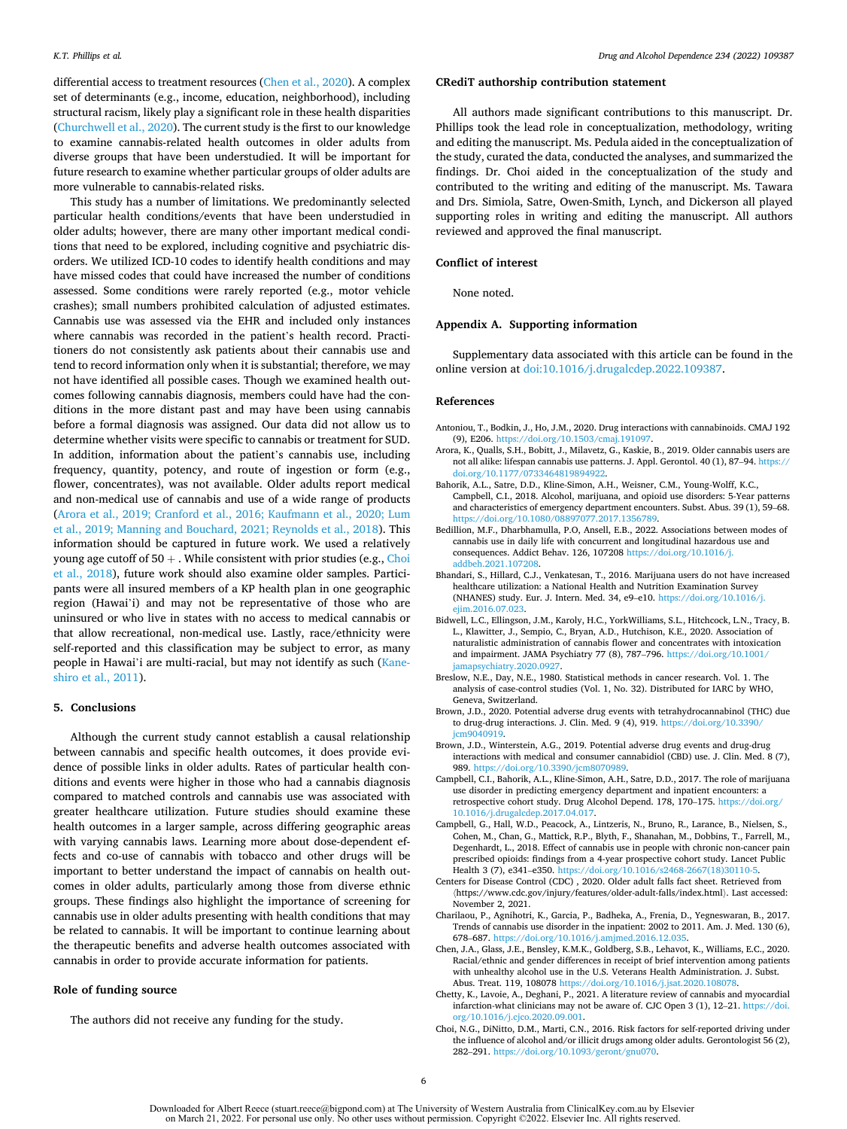<span id="page-5-0"></span>differential access to treatment resources (Chen et al., 2020). A complex set of determinants (e.g., income, education, neighborhood), including structural racism, likely play a significant role in these health disparities ([Churchwell et al., 2020\)](#page-6-0). The current study is the first to our knowledge to examine cannabis-related health outcomes in older adults from diverse groups that have been understudied. It will be important for future research to examine whether particular groups of older adults are more vulnerable to cannabis-related risks.

This study has a number of limitations. We predominantly selected particular health conditions/events that have been understudied in older adults; however, there are many other important medical conditions that need to be explored, including cognitive and psychiatric disorders. We utilized ICD-10 codes to identify health conditions and may have missed codes that could have increased the number of conditions assessed. Some conditions were rarely reported (e.g., motor vehicle crashes); small numbers prohibited calculation of adjusted estimates. Cannabis use was assessed via the EHR and included only instances where cannabis was recorded in the patient's health record. Practitioners do not consistently ask patients about their cannabis use and tend to record information only when it is substantial; therefore, we may not have identified all possible cases. Though we examined health outcomes following cannabis diagnosis, members could have had the conditions in the more distant past and may have been using cannabis before a formal diagnosis was assigned. Our data did not allow us to determine whether visits were specific to cannabis or treatment for SUD. In addition, information about the patient's cannabis use, including frequency, quantity, potency, and route of ingestion or form (e.g., flower, concentrates), was not available. Older adults report medical and non-medical use of cannabis and use of a wide range of products (Arora et al., 2019; Cranford et al., 2016; Kaufmann et al., 2020; Lum et al., 2019; Manning and Bouchard, 2021; Reynolds et al., 2018). This information should be captured in future work. We used a relatively young age cutoff of  $50 +$ . While consistent with prior studies (e.g., Choi [et al., 2018](#page-6-0)), future work should also examine older samples. Participants were all insured members of a KP health plan in one geographic region (Hawai'i) and may not be representative of those who are uninsured or who live in states with no access to medical cannabis or that allow recreational, non-medical use. Lastly, race/ethnicity were self-reported and this classification may be subject to error, as many people in Hawai'i are multi-racial, but may not identify as such ([Kane](#page-6-0)[shiro et al., 2011\)](#page-6-0).

## **5. Conclusions**

Although the current study cannot establish a causal relationship between cannabis and specific health outcomes, it does provide evidence of possible links in older adults. Rates of particular health conditions and events were higher in those who had a cannabis diagnosis compared to matched controls and cannabis use was associated with greater healthcare utilization. Future studies should examine these health outcomes in a larger sample, across differing geographic areas with varying cannabis laws. Learning more about dose-dependent effects and co-use of cannabis with tobacco and other drugs will be important to better understand the impact of cannabis on health outcomes in older adults, particularly among those from diverse ethnic groups. These findings also highlight the importance of screening for cannabis use in older adults presenting with health conditions that may be related to cannabis. It will be important to continue learning about the therapeutic benefits and adverse health outcomes associated with cannabis in order to provide accurate information for patients.

# **Role of funding source**

The authors did not receive any funding for the study.

# **CRediT authorship contribution statement**

All authors made significant contributions to this manuscript. Dr. Phillips took the lead role in conceptualization, methodology, writing and editing the manuscript. Ms. Pedula aided in the conceptualization of the study, curated the data, conducted the analyses, and summarized the findings. Dr. Choi aided in the conceptualization of the study and contributed to the writing and editing of the manuscript. Ms. Tawara and Drs. Simiola, Satre, Owen-Smith, Lynch, and Dickerson all played supporting roles in writing and editing the manuscript. All authors reviewed and approved the final manuscript.

## **Conflict of interest**

None noted.

## **Appendix A. Supporting information**

Supplementary data associated with this article can be found in the online version at [doi:10.1016/j.drugalcdep.2022.109387](https://doi.org/10.1016/j.drugalcdep.2022.109387).

#### **References**

- Antoniou, T., Bodkin, J., Ho, J.M., 2020. Drug interactions with cannabinoids. CMAJ 192 (9), E206. [https://doi.org/10.1503/cmaj.191097.](https://doi.org/10.1503/cmaj.191097)
- Arora, K., Qualls, S.H., Bobitt, J., Milavetz, G., Kaskie, B., 2019. Older cannabis users are not all alike: lifespan cannabis use patterns. J. Appl. Gerontol. 40 (1), 87–94. [https://](https://doi.org/10.1177/0733464819894922)  [doi.org/10.1177/0733464819894922.](https://doi.org/10.1177/0733464819894922)
- Bahorik, A.L., Satre, D.D., Kline-Simon, A.H., Weisner, C.M., Young-Wolff, K.C., Campbell, C.I., 2018. Alcohol, marijuana, and opioid use disorders: 5-Year patterns and characteristics of emergency department encounters. Subst. Abus. 39 (1), 59–68. <https://doi.org/10.1080/08897077.2017.1356789>.
- Bedillion, M.F., Dharbhamulla, P.O, Ansell, E.B., 2022. Associations between modes of cannabis use in daily life with concurrent and longitudinal hazardous use and consequences. Addict Behav. 126, 107208 [https://doi.org/10.1016/j.](https://doi.org/10.1016/j.addbeh.2021.107208) [addbeh.2021.107208.](https://doi.org/10.1016/j.addbeh.2021.107208)
- Bhandari, S., Hillard, C.J., Venkatesan, T., 2016. Marijuana users do not have increased healthcare utilization: a National Health and Nutrition Examination Survey (NHANES) study. Eur. J. Intern. Med. 34, e9–e10. [https://doi.org/10.1016/j.](https://doi.org/10.1016/j.ejim.2016.07.023)  [ejim.2016.07.023.](https://doi.org/10.1016/j.ejim.2016.07.023)
- Bidwell, L.C., Ellingson, J.M., Karoly, H.C., YorkWilliams, S.L., Hitchcock, L.N., Tracy, B. L., Klawitter, J., Sempio, C., Bryan, A.D., Hutchison, K.E., 2020. Association of naturalistic administration of cannabis flower and concentrates with intoxication and impairment. JAMA Psychiatry 77 (8), 787–796. [https://doi.org/10.1001/](https://doi.org/10.1001/jamapsychiatry.2020.0927)  [jamapsychiatry.2020.0927.](https://doi.org/10.1001/jamapsychiatry.2020.0927)
- Breslow, N.E., Day, N.E., 1980. Statistical methods in cancer research. Vol. 1. The analysis of case-control studies (Vol. 1, No. 32). Distributed for IARC by WHO, Geneva, Switzerland.
- Brown, J.D., 2020. Potential adverse drug events with tetrahydrocannabinol (THC) due to drug-drug interactions. J. Clin. Med. 9 (4), 919. https://doi.org/10.3390 [jcm9040919.](https://doi.org/10.3390/jcm9040919)
- Brown, J.D., Winterstein, A.G., 2019. Potential adverse drug events and drug-drug interactions with medical and consumer cannabidiol (CBD) use. J. Clin. Med. 8 (7), 989. https://doi.org/10.3390/jcm80709
- Campbell, C.I., Bahorik, A.L., Kline-Simon, A.H., Satre, D.D., 2017. The role of marijuana use disorder in predicting emergency department and inpatient encounters: a retrospective cohort study. Drug Alcohol Depend. 178, 170–175. [https://doi.org/](https://doi.org/10.1016/j.drugalcdep.2017.04.017)  [10.1016/j.drugalcdep.2017.04.017.](https://doi.org/10.1016/j.drugalcdep.2017.04.017)
- Campbell, G., Hall, W.D., Peacock, A., Lintzeris, N., Bruno, R., Larance, B., Nielsen, S., Cohen, M., Chan, G., Mattick, R.P., Blyth, F., Shanahan, M., Dobbins, T., Farrell, M., Degenhardt, L., 2018. Effect of cannabis use in people with chronic non-cancer pain prescribed opioids: findings from a 4-year prospective cohort study. Lancet Public Health 3 (7), e341–e350. [https://doi.org/10.1016/s2468-2667\(18\)30110-5](https://doi.org/10.1016/s2468-2667(18)30110-5).
- Centers for Disease Control (CDC) , 2020. Older adult falls fact sheet. Retrieved from 〈https://www.cdc.gov/injury/features/older-adult-falls/index.html〉. Last accessed: November 2, 2021.
- Charilaou, P., Agnihotri, K., Garcia, P., Badheka, A., Frenia, D., Yegneswaran, B., 2017. Trends of cannabis use disorder in the inpatient: 2002 to 2011. Am. J. Med. 130 (6), 678–687. [https://doi.org/10.1016/j.amjmed.2016.12.035.](https://doi.org/10.1016/j.amjmed.2016.12.035)
- Chen, J.A., Glass, J.E., Bensley, K.M.K., Goldberg, S.B., Lehavot, K., Williams, E.C., 2020. Racial/ethnic and gender differences in receipt of brief intervention among patients with unhealthy alcohol use in the U.S. Veterans Health Administration. J. Subst. Abus. Treat. 119, 108078 <https://doi.org/10.1016/j.jsat.2020.108078>.
- Chetty, K., Lavoie, A., Deghani, P., 2021. A literature review of cannabis and myocardial infarction-what clinicians may not be aware of. CJC Open 3 (1), 12–21. [https://doi.](https://doi.org/10.1016/j.cjco.2020.09.001)  [org/10.1016/j.cjco.2020.09.001](https://doi.org/10.1016/j.cjco.2020.09.001).
- Choi, N.G., DiNitto, D.M., Marti, C.N., 2016. Risk factors for self-reported driving under the influence of alcohol and/or illicit drugs among older adults. Gerontologist 56 (2), 282–291. [https://doi.org/10.1093/geront/gnu070.](https://doi.org/10.1093/geront/gnu070)